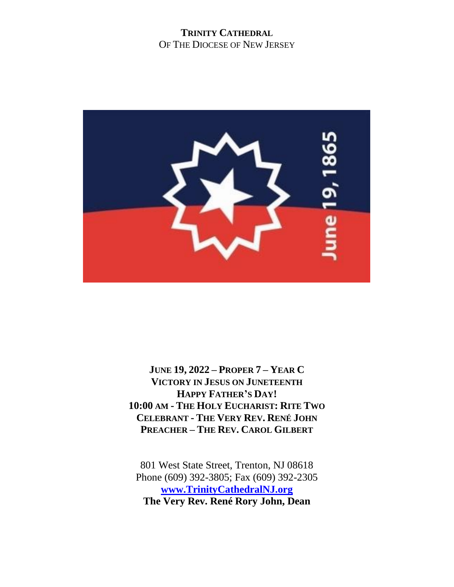#### **TRINITY CATHEDRAL** OF THE DIOCESE OF NEW JERSEY



**JUNE 19, 2022 – PROPER 7 – YEAR C VICTORY IN JESUS ON JUNETEENTH HAPPY FATHER'S DAY! 10:00 AM - THE HOLY EUCHARIST: RITE TWO CELEBRANT - THE VERY REV. RENÉ JOHN PREACHER – THE REV. CAROL GILBERT**

801 West State Street, Trenton, NJ 08618 Phone (609) 392-3805; Fax (609) 392-2305 **[www.TrinityCathedralNJ.org](http://www.trinitycathedralnj.org/) The Very Rev. René Rory John, Dean**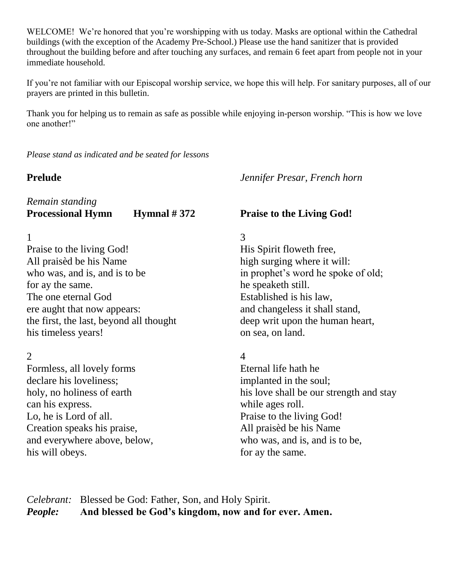WELCOME! We're honored that you're worshipping with us today. Masks are optional within the Cathedral buildings (with the exception of the Academy Pre-School.) Please use the hand sanitizer that is provided throughout the building before and after touching any surfaces, and remain 6 feet apart from people not in your immediate household.

If you're not familiar with our Episcopal worship service, we hope this will help. For sanitary purposes, all of our prayers are printed in this bulletin.

Thank you for helping us to remain as safe as possible while enjoying in-person worship. "This is how we love one another!"

*Please stand as indicated and be seated for lessons*

*Remain standing* **Processional Hymnal # 372** Praise to the Living God!

#### 1

Praise to the living God! All praisèd be his Name who was, and is, and is to be for ay the same. The one eternal God ere aught that now appears: the first, the last, beyond all thought his timeless years!

### 2

Formless, all lovely forms declare his loveliness; holy, no holiness of earth can his express. Lo, he is Lord of all. Creation speaks his praise, and everywhere above, below, his will obeys.

**Prelude** *Jennifer Presar, French horn*

#### 3

His Spirit floweth free, high surging where it will: in prophet's word he spoke of old; he speaketh still. Established is his law, and changeless it shall stand, deep writ upon the human heart, on sea, on land.

4

Eternal life hath he implanted in the soul; his love shall be our strength and stay while ages roll. Praise to the living God! All praisèd be his Name who was, and is, and is to be, for ay the same.

*Celebrant:* Blessed be God: Father, Son, and Holy Spirit. *People:* **And blessed be God's kingdom, now and for ever. Amen.**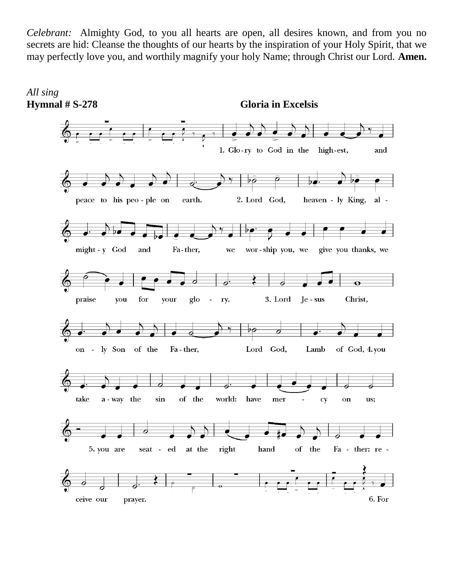*Celebrant:* Almighty God, to you all hearts are open, all desires known, and from you no secrets are hid: Cleanse the thoughts of our hearts by the inspiration of your Holy Spirit, that we may perfectly love you, and worthily magnify your holy Name; through Christ our Lord. **Amen.**

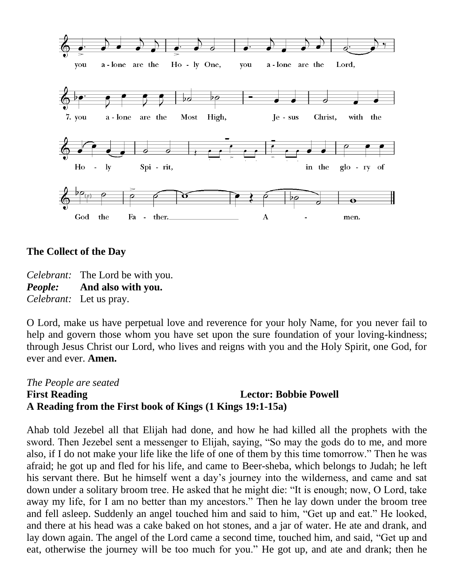

#### **The Collect of the Day**

*Celebrant:* The Lord be with you. *People:* **And also with you.** *Celebrant:* Let us pray.

O Lord, make us have perpetual love and reverence for your holy Name, for you never fail to help and govern those whom you have set upon the sure foundation of your loving-kindness; through Jesus Christ our Lord, who lives and reigns with you and the Holy Spirit, one God, for ever and ever. **Amen.**

### *The People are seated* **First Reading Lector: Bobbie Powell A Reading from the First book of Kings (1 Kings 19:1-15a)**

Ahab told Jezebel all that Elijah had done, and how he had killed all the prophets with the sword. Then Jezebel sent a messenger to Elijah, saying, "So may the gods do to me, and more also, if I do not make your life like the life of one of them by this time tomorrow." Then he was afraid; he got up and fled for his life, and came to Beer-sheba, which belongs to Judah; he left his servant there. But he himself went a day's journey into the wilderness, and came and sat down under a solitary broom tree. He asked that he might die: "It is enough; now, O Lord, take away my life, for I am no better than my ancestors." Then he lay down under the broom tree and fell asleep. Suddenly an angel touched him and said to him, "Get up and eat." He looked, and there at his head was a cake baked on hot stones, and a jar of water. He ate and drank, and lay down again. The angel of the Lord came a second time, touched him, and said, "Get up and eat, otherwise the journey will be too much for you." He got up, and ate and drank; then he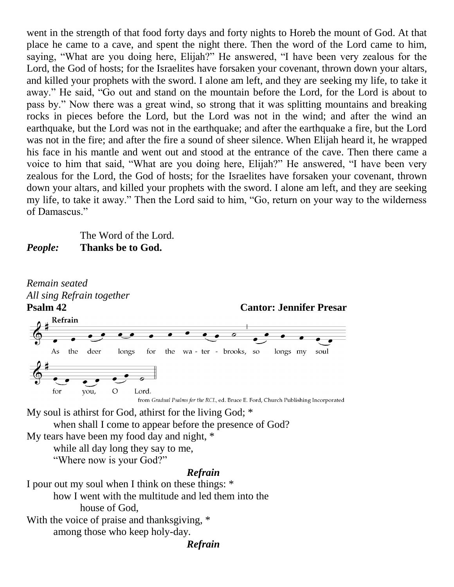went in the strength of that food forty days and forty nights to Horeb the mount of God. At that place he came to a cave, and spent the night there. Then the word of the Lord came to him, saying, "What are you doing here, Elijah?" He answered, "I have been very zealous for the Lord, the God of hosts; for the Israelites have forsaken your covenant, thrown down your altars, and killed your prophets with the sword. I alone am left, and they are seeking my life, to take it away." He said, "Go out and stand on the mountain before the Lord, for the Lord is about to pass by." Now there was a great wind, so strong that it was splitting mountains and breaking rocks in pieces before the Lord, but the Lord was not in the wind; and after the wind an earthquake, but the Lord was not in the earthquake; and after the earthquake a fire, but the Lord was not in the fire; and after the fire a sound of sheer silence. When Elijah heard it, he wrapped his face in his mantle and went out and stood at the entrance of the cave. Then there came a voice to him that said, "What are you doing here, Elijah?" He answered, "I have been very zealous for the Lord, the God of hosts; for the Israelites have forsaken your covenant, thrown down your altars, and killed your prophets with the sword. I alone am left, and they are seeking my life, to take it away." Then the Lord said to him, "Go, return on your way to the wilderness of Damascus."

The Word of the Lord. *People:* **Thanks be to God.**

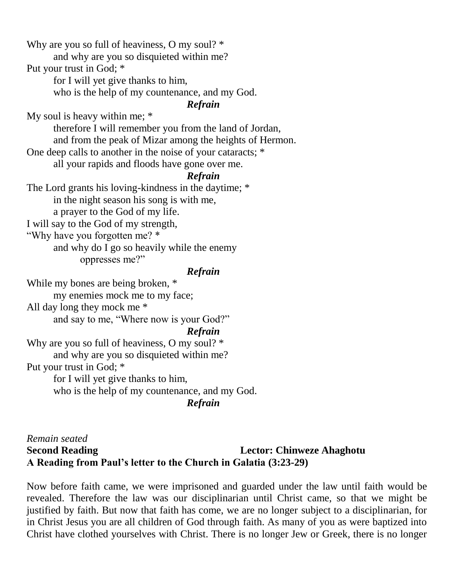Why are you so full of heaviness, O my soul? \*

and why are you so disquieted within me?

Put your trust in God; \*

for I will yet give thanks to him,

who is the help of my countenance, and my God.

#### *Refrain*

My soul is heavy within me; \*

therefore I will remember you from the land of Jordan,

and from the peak of Mizar among the heights of Hermon.

One deep calls to another in the noise of your cataracts; \*

all your rapids and floods have gone over me.

### *Refrain*

The Lord grants his loving-kindness in the daytime; \* in the night season his song is with me, a prayer to the God of my life. I will say to the God of my strength, "Why have you forgotten me? \*

and why do I go so heavily while the enemy oppresses me?"

#### *Refrain*

While my bones are being broken, \* my enemies mock me to my face;

All day long they mock me \* and say to me, "Where now is your God?"

# *Refrain*

Why are you so full of heaviness, O my soul? \*

and why are you so disquieted within me? Put your trust in God; \*

for I will yet give thanks to him,

who is the help of my countenance, and my God.

*Refrain*

#### *Remain seated* **Second Reading Lector: Chinweze Ahaghotu A Reading from Paul's letter to the Church in Galatia (3:23-29)**

Now before faith came, we were imprisoned and guarded under the law until faith would be revealed. Therefore the law was our disciplinarian until Christ came, so that we might be justified by faith. But now that faith has come, we are no longer subject to a disciplinarian, for in Christ Jesus you are all children of God through faith. As many of you as were baptized into Christ have clothed yourselves with Christ. There is no longer Jew or Greek, there is no longer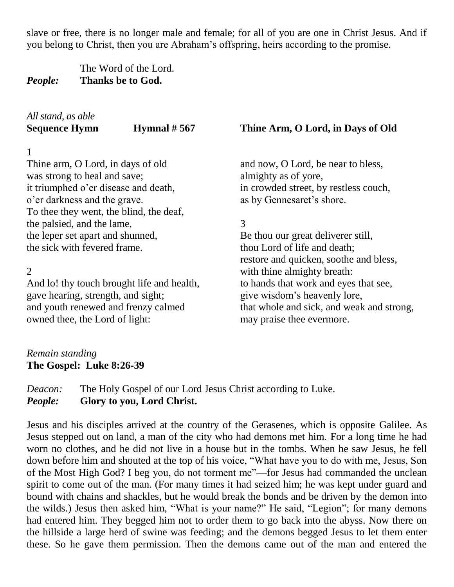slave or free, there is no longer male and female; for all of you are one in Christ Jesus. And if you belong to Christ, then you are Abraham's offspring, heirs according to the promise.

The Word of the Lord. *People:* **Thanks be to God.**

| All stand, as able                                                |               |                                                            |
|-------------------------------------------------------------------|---------------|------------------------------------------------------------|
| <b>Sequence Hymn</b>                                              | Hymnal $#567$ | Thine Arm, O Lord, in Days of Old                          |
|                                                                   |               |                                                            |
| Thine arm, O Lord, in days of old<br>was strong to heal and save; |               | and now, O Lord, be near to bless,<br>almighty as of yore, |
| it triumphed o'er disease and death,                              |               | in crowded street, by restless couch,                      |
| o'er darkness and the grave.                                      |               | as by Gennesaret's shore.                                  |
| To thee they went, the blind, the deaf,                           |               |                                                            |
| the palsied, and the lame,                                        |               | 3                                                          |
| the leper set apart and shunned,                                  |               | Be thou our great deliverer still,                         |
| the sick with fevered frame.                                      |               | thou Lord of life and death;                               |
|                                                                   |               | restore and quicken, soothe and bless,                     |
| $\overline{2}$                                                    |               | with thine almighty breath:                                |
| And lo! thy touch brought life and health,                        |               | to hands that work and eyes that see,                      |
| gave hearing, strength, and sight;                                |               | give wisdom's heavenly lore,                               |
| and youth renewed and frenzy calmed                               |               | that whole and sick, and weak and strong,                  |
| owned thee, the Lord of light:                                    |               | may praise thee evermore.                                  |

# *Remain standing* **The Gospel: Luke 8:26-39**

# *Deacon:* The Holy Gospel of our Lord Jesus Christ according to Luke. *People:* **Glory to you, Lord Christ.**

Jesus and his disciples arrived at the country of the Gerasenes, which is opposite Galilee. As Jesus stepped out on land, a man of the city who had demons met him. For a long time he had worn no clothes, and he did not live in a house but in the tombs. When he saw Jesus, he fell down before him and shouted at the top of his voice, "What have you to do with me, Jesus, Son of the Most High God? I beg you, do not torment me"—for Jesus had commanded the unclean spirit to come out of the man. (For many times it had seized him; he was kept under guard and bound with chains and shackles, but he would break the bonds and be driven by the demon into the wilds.) Jesus then asked him, "What is your name?" He said, "Legion"; for many demons had entered him. They begged him not to order them to go back into the abyss. Now there on the hillside a large herd of swine was feeding; and the demons begged Jesus to let them enter these. So he gave them permission. Then the demons came out of the man and entered the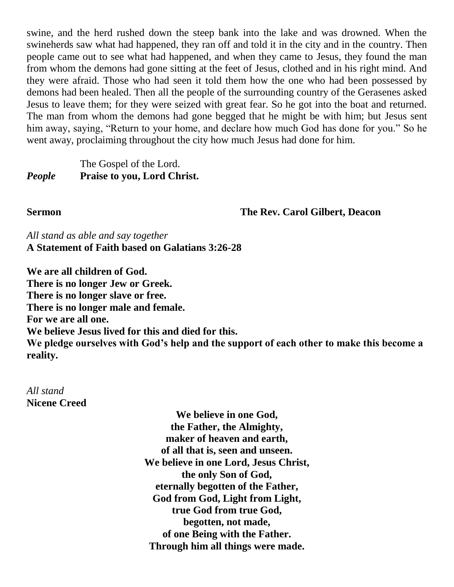swine, and the herd rushed down the steep bank into the lake and was drowned. When the swineherds saw what had happened, they ran off and told it in the city and in the country. Then people came out to see what had happened, and when they came to Jesus, they found the man from whom the demons had gone sitting at the feet of Jesus, clothed and in his right mind. And they were afraid. Those who had seen it told them how the one who had been possessed by demons had been healed. Then all the people of the surrounding country of the Gerasenes asked Jesus to leave them; for they were seized with great fear. So he got into the boat and returned. The man from whom the demons had gone begged that he might be with him; but Jesus sent him away, saying, "Return to your home, and declare how much God has done for you." So he went away, proclaiming throughout the city how much Jesus had done for him.

The Gospel of the Lord. *People* **Praise to you, Lord Christ.**

**Sermon The Rev. Carol Gilbert, Deacon**

*All stand as able and say together* **A Statement of Faith based on Galatians 3:26-28**

**We are all children of God. There is no longer Jew or Greek. There is no longer slave or free. There is no longer male and female. For we are all one. We believe Jesus lived for this and died for this. We pledge ourselves with God's help and the support of each other to make this become a reality.**

*All stand* **Nicene Creed**

> **We believe in one God, the Father, the Almighty, maker of heaven and earth, of all that is, seen and unseen. We believe in one Lord, Jesus Christ, the only Son of God, eternally begotten of the Father, God from God, Light from Light, true God from true God, begotten, not made, of one Being with the Father. Through him all things were made.**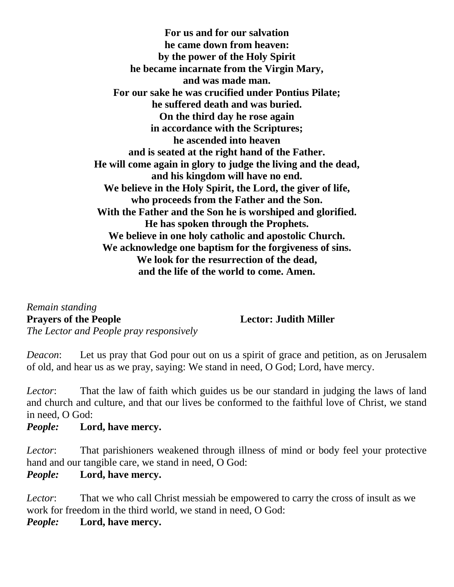**For us and for our salvation he came down from heaven: by the power of the Holy Spirit he became incarnate from the Virgin Mary, and was made man. For our sake he was crucified under Pontius Pilate; he suffered death and was buried. On the third day he rose again in accordance with the Scriptures; he ascended into heaven and is seated at the right hand of the Father. He will come again in glory to judge the living and the dead, and his kingdom will have no end. We believe in the Holy Spirit, the Lord, the giver of life, who proceeds from the Father and the Son. With the Father and the Son he is worshiped and glorified. He has spoken through the Prophets. We believe in one holy catholic and apostolic Church. We acknowledge one baptism for the forgiveness of sins. We look for the resurrection of the dead, and the life of the world to come. Amen.**

*Remain standing* **Prayers of the People Lector: Judith Miller** *The Lector and People pray responsively*

*Deacon*: Let us pray that God pour out on us a spirit of grace and petition, as on Jerusalem of old, and hear us as we pray, saying: We stand in need, O God; Lord, have mercy.

*Lector*: That the law of faith which guides us be our standard in judging the laws of land and church and culture, and that our lives be conformed to the faithful love of Christ, we stand in need, O God:

# *People:* **Lord, have mercy.**

*Lector*: That parishioners weakened through illness of mind or body feel your protective hand and our tangible care, we stand in need, O God:

# *People:* **Lord, have mercy.**

*Lector*: That we who call Christ messiah be empowered to carry the cross of insult as we work for freedom in the third world, we stand in need, O God: *People:* **Lord, have mercy.**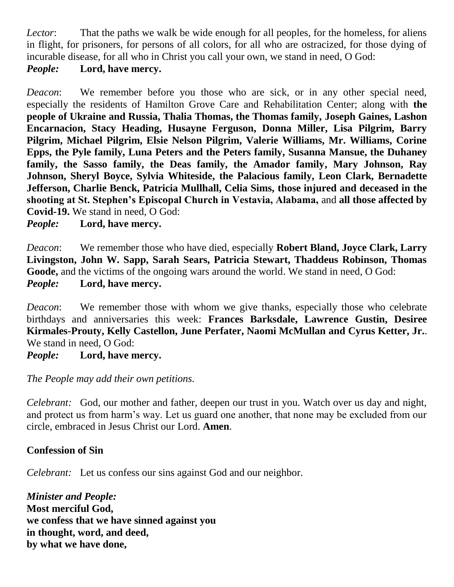*Lector*: That the paths we walk be wide enough for all peoples, for the homeless, for aliens in flight, for prisoners, for persons of all colors, for all who are ostracized, for those dying of incurable disease, for all who in Christ you call your own, we stand in need, O God:

# *People:* **Lord, have mercy.**

*Deacon*: We remember before you those who are sick, or in any other special need, especially the residents of Hamilton Grove Care and Rehabilitation Center; along with **the people of Ukraine and Russia, Thalia Thomas, the Thomas family, Joseph Gaines, Lashon Encarnacion, Stacy Heading, Husayne Ferguson, Donna Miller, Lisa Pilgrim, Barry Pilgrim, Michael Pilgrim, Elsie Nelson Pilgrim, Valerie Williams, Mr. Williams, Corine Epps, the Pyle family, Luna Peters and the Peters family, Susanna Mansue, the Duhaney family, the Sasso family, the Deas family, the Amador family, Mary Johnson, Ray Johnson, Sheryl Boyce, Sylvia Whiteside, the Palacious family, Leon Clark, Bernadette Jefferson, Charlie Benck, Patricia Mullhall, Celia Sims, those injured and deceased in the shooting at St. Stephen's Episcopal Church in Vestavia, Alabama,** and **all those affected by Covid-19.** We stand in need, O God:

*People:* **Lord, have mercy.**

*Deacon*: We remember those who have died, especially **Robert Bland, Joyce Clark, Larry Livingston, John W. Sapp, Sarah Sears, Patricia Stewart, Thaddeus Robinson, Thomas Goode,** and the victims of the ongoing wars around the world. We stand in need, O God: *People:* **Lord, have mercy.**

*Deacon*: We remember those with whom we give thanks, especially those who celebrate birthdays and anniversaries this week: **Frances Barksdale, Lawrence Gustin, Desiree Kirmales-Prouty, Kelly Castellon, June Perfater, Naomi McMullan and Cyrus Ketter, Jr.**. We stand in need, O God:

*People:* **Lord, have mercy.**

*The People may add their own petitions.*

*Celebrant:* God, our mother and father, deepen our trust in you. Watch over us day and night, and protect us from harm's way. Let us guard one another, that none may be excluded from our circle, embraced in Jesus Christ our Lord. **Amen**.

# **Confession of Sin**

*Celebrant:* Let us confess our sins against God and our neighbor.

*Minister and People:* **Most merciful God, we confess that we have sinned against you in thought, word, and deed, by what we have done,**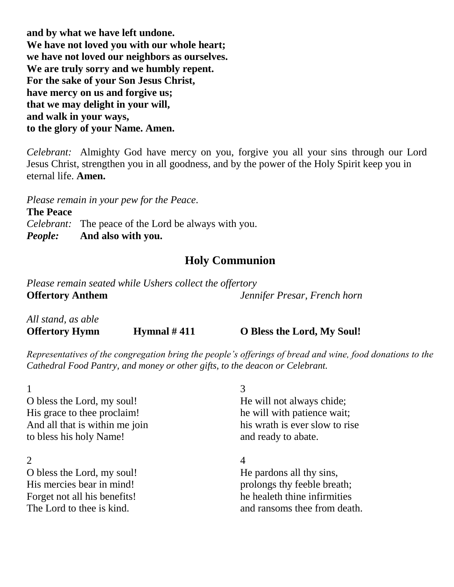**and by what we have left undone. We have not loved you with our whole heart; we have not loved our neighbors as ourselves. We are truly sorry and we humbly repent. For the sake of your Son Jesus Christ, have mercy on us and forgive us; that we may delight in your will, and walk in your ways, to the glory of your Name. Amen.**

*Celebrant:* Almighty God have mercy on you, forgive you all your sins through our Lord Jesus Christ, strengthen you in all goodness, and by the power of the Holy Spirit keep you in eternal life. **Amen.**

*Please remain in your pew for the Peace.* **The Peace** *Celebrant:* The peace of the Lord be always with you. *People:* **And also with you.**

# **Holy Communion**

*Please remain seated while Ushers collect the offertory* **Offertory Anthem** *Jennifer Presar, French horn*

| All stand, as able    |               |                            |
|-----------------------|---------------|----------------------------|
| <b>Offertory Hymn</b> | Hymnal $#411$ | O Bless the Lord, My Soul! |

*Representatives of the congregation bring the people's offerings of bread and wine, food donations to the Cathedral Food Pantry, and money or other gifts, to the deacon or Celebrant.*

| O bless the Lord, my soul!     | He will not always chide;      |
|--------------------------------|--------------------------------|
| His grace to thee proclaim!    | he will with patience wait;    |
| And all that is within me join | his wrath is ever slow to rise |
| to bless his holy Name!        | and ready to abate.            |
|                                | $\overline{4}$                 |
| O bless the Lord, my soul!     | He pardons all thy sins,       |
| His mercies bear in mind!      | prolongs thy feeble breath;    |
| Forget not all his benefits!   | he healeth thine infirmities   |
| The Lord to thee is kind.      | and ransoms thee from death.   |
|                                |                                |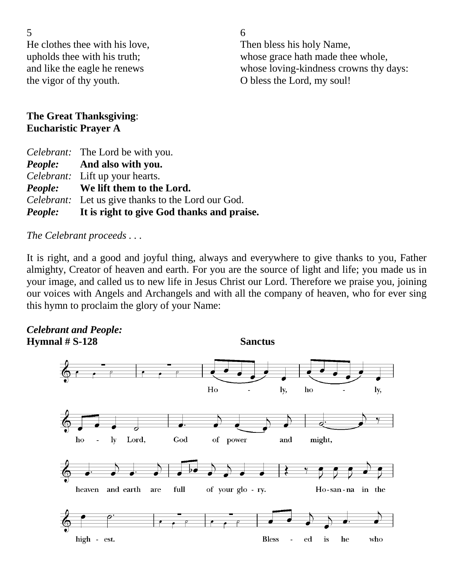5 He clothes thee with his love, upholds thee with his truth; and like the eagle he renews the vigor of thy youth.

6 Then bless his holy Name, whose grace hath made thee whole, whose loving-kindness crowns thy days: O bless the Lord, my soul!

# **The Great Thanksgiving**: **Eucharistic Prayer A**

| <i>Celebrant:</i> The Lord be with you.                   |
|-----------------------------------------------------------|
| <i>People:</i> And also with you.                         |
| <i>Celebrant:</i> Lift up your hearts.                    |
| <i>People:</i> We lift them to the Lord.                  |
| <i>Celebrant:</i> Let us give thanks to the Lord our God. |
| <i>People:</i> It is right to give God thanks and praise. |

# *The Celebrant proceeds . . .*

It is right, and a good and joyful thing, always and everywhere to give thanks to you, Father almighty, Creator of heaven and earth. For you are the source of light and life; you made us in your image, and called us to new life in Jesus Christ our Lord. Therefore we praise you, joining our voices with Angels and Archangels and with all the company of heaven, who for ever sing this hymn to proclaim the glory of your Name:

# *Celebrant and People:*

**Hymnal # S-128 Sanctus**Ho lv, ho ly, Lord, of power ho  $1y$ God and might,  $full$ heaven and earth are of your glo - ry. Ho-san-na in the high - est. **Bless** who ed  $is$ he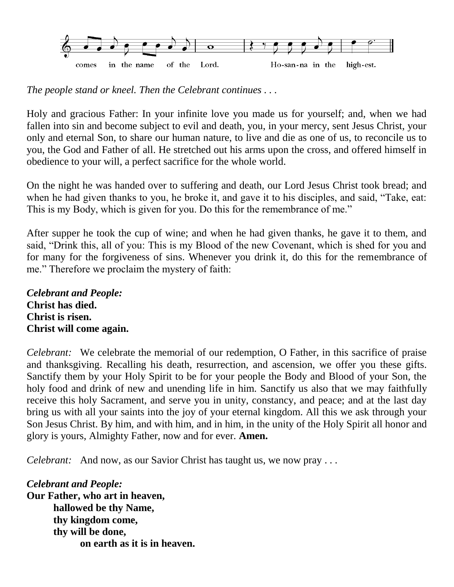

*The people stand or kneel. Then the Celebrant continues . . .*

Holy and gracious Father: In your infinite love you made us for yourself; and, when we had fallen into sin and become subject to evil and death, you, in your mercy, sent Jesus Christ, your only and eternal Son, to share our human nature, to live and die as one of us, to reconcile us to you, the God and Father of all. He stretched out his arms upon the cross, and offered himself in obedience to your will, a perfect sacrifice for the whole world.

On the night he was handed over to suffering and death, our Lord Jesus Christ took bread; and when he had given thanks to you, he broke it, and gave it to his disciples, and said, "Take, eat: This is my Body, which is given for you. Do this for the remembrance of me."

After supper he took the cup of wine; and when he had given thanks, he gave it to them, and said, "Drink this, all of you: This is my Blood of the new Covenant, which is shed for you and for many for the forgiveness of sins. Whenever you drink it, do this for the remembrance of me." Therefore we proclaim the mystery of faith:

*Celebrant and People:* **Christ has died. Christ is risen. Christ will come again.**

*Celebrant:* We celebrate the memorial of our redemption, O Father, in this sacrifice of praise and thanksgiving. Recalling his death, resurrection, and ascension, we offer you these gifts. Sanctify them by your Holy Spirit to be for your people the Body and Blood of your Son, the holy food and drink of new and unending life in him. Sanctify us also that we may faithfully receive this holy Sacrament, and serve you in unity, constancy, and peace; and at the last day bring us with all your saints into the joy of your eternal kingdom. All this we ask through your Son Jesus Christ. By him, and with him, and in him, in the unity of the Holy Spirit all honor and glory is yours, Almighty Father, now and for ever. **Amen.**

*Celebrant:* And now, as our Savior Christ has taught us, we now pray ...

*Celebrant and People:* **Our Father, who art in heaven, hallowed be thy Name, thy kingdom come, thy will be done, on earth as it is in heaven.**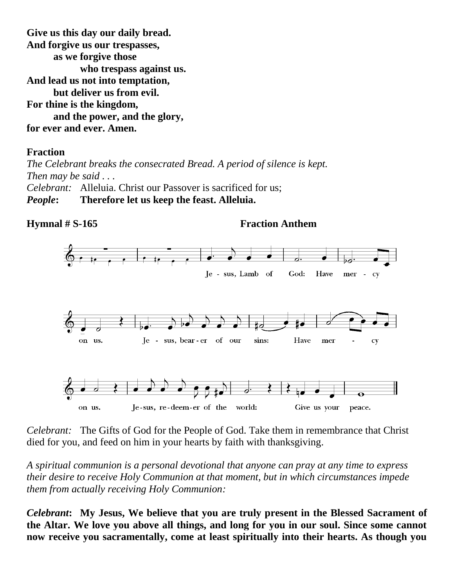**Give us this day our daily bread. And forgive us our trespasses, as we forgive those who trespass against us. And lead us not into temptation, but deliver us from evil. For thine is the kingdom, and the power, and the glory, for ever and ever. Amen.**

#### **Fraction**

*The Celebrant breaks the consecrated Bread. A period of silence is kept. Then may be said . . . Celebrant:* Alleluia. Christ our Passover is sacrificed for us; *People***: Therefore let us keep the feast. Alleluia.** 

**Hymnal # S-165 Fraction Anthem**



*Celebrant:* The Gifts of God for the People of God. Take them in remembrance that Christ died for you, and feed on him in your hearts by faith with thanksgiving.

*A spiritual communion is a personal devotional that anyone can pray at any time to express their desire to receive Holy Communion at that moment, but in which circumstances impede them from actually receiving Holy Communion:*

*Celebrant***: My Jesus, We believe that you are truly present in the Blessed Sacrament of the Altar. We love you above all things, and long for you in our soul. Since some cannot now receive you sacramentally, come at least spiritually into their hearts. As though you**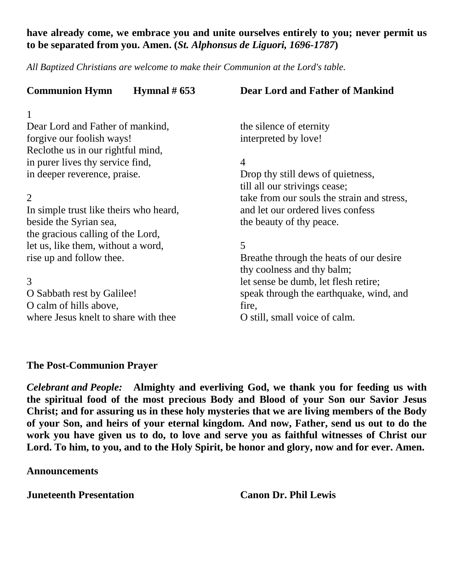# **have already come, we embrace you and unite ourselves entirely to you; never permit us to be separated from you. Amen. (***St. Alphonsus de Liguori, 1696-1787***)**

*All Baptized Christians are welcome to make their Communion at the Lord's table.* 

| <b>Communion Hymn</b>                  | Hymnal $# 653$ | <b>Dear Lord and Father of Mankind</b>     |
|----------------------------------------|----------------|--------------------------------------------|
| $\mathbf{1}$                           |                |                                            |
| Dear Lord and Father of mankind,       |                | the silence of eternity                    |
| forgive our foolish ways!              |                | interpreted by love!                       |
| Reclothe us in our rightful mind,      |                |                                            |
| in purer lives thy service find,       |                | 4                                          |
| in deeper reverence, praise.           |                | Drop thy still dews of quietness,          |
|                                        |                | till all our strivings cease;              |
| $\overline{2}$                         |                | take from our souls the strain and stress, |
| In simple trust like theirs who heard, |                | and let our ordered lives confess          |
| beside the Syrian sea,                 |                | the beauty of thy peace.                   |
| the gracious calling of the Lord,      |                |                                            |
| let us, like them, without a word,     |                | 5                                          |
| rise up and follow thee.               |                | Breathe through the heats of our desire    |
|                                        |                | thy coolness and thy balm;                 |
| 3                                      |                | let sense be dumb, let flesh retire;       |
| O Sabbath rest by Galilee!             |                | speak through the earthquake, wind, and    |
| O calm of hills above,                 |                | fire,                                      |
| where Jesus knelt to share with thee   |                | O still, small voice of calm.              |

### **The Post-Communion Prayer**

*Celebrant and People:* **Almighty and everliving God, we thank you for feeding us with the spiritual food of the most precious Body and Blood of your Son our Savior Jesus Christ; and for assuring us in these holy mysteries that we are living members of the Body of your Son, and heirs of your eternal kingdom. And now, Father, send us out to do the work you have given us to do, to love and serve you as faithful witnesses of Christ our Lord. To him, to you, and to the Holy Spirit, be honor and glory, now and for ever. Amen.**

**Announcements**

**Juneteenth Presentation Canon Dr. Phil Lewis**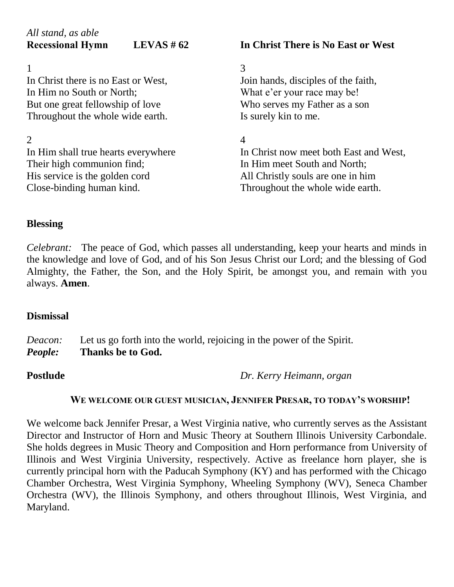| All stand, as able                  |              |                                        |
|-------------------------------------|--------------|----------------------------------------|
| <b>Recessional Hymn</b>             | LEVAS # $62$ | In Christ There is No East or West     |
|                                     |              | 3                                      |
| In Christ there is no East or West, |              | Join hands, disciples of the faith,    |
| In Him no South or North;           |              | What e'er your race may be!            |
| But one great fellowship of love    |              | Who serves my Father as a son          |
| Throughout the whole wide earth.    |              | Is surely kin to me.                   |
| $\overline{2}$                      |              | 4                                      |
| In Him shall true hearts everywhere |              | In Christ now meet both East and West, |
| Their high communion find;          |              | In Him meet South and North;           |
| His service is the golden cord      |              | All Christly souls are one in him      |

Throughout the whole wide earth.

### **Blessing**

*Celebrant:* The peace of God, which passes all understanding, keep your hearts and minds in the knowledge and love of God, and of his Son Jesus Christ our Lord; and the blessing of God Almighty, the Father, the Son, and the Holy Spirit, be amongst you, and remain with you always. **Amen**.

### **Dismissal**

*Deacon:* Let us go forth into the world, rejoicing in the power of the Spirit.

*People:* **Thanks be to God.**

Close-binding human kind.

**Postlude** *Dr. Kerry Heimann, organ*

### **WE WELCOME OUR GUEST MUSICIAN, JENNIFER PRESAR, TO TODAY'S WORSHIP!**

We welcome back Jennifer Presar, a West Virginia native, who currently serves as the Assistant Director and Instructor of Horn and Music Theory at Southern Illinois University Carbondale. She holds degrees in Music Theory and Composition and Horn performance from University of Illinois and West Virginia University, respectively. Active as freelance horn player, she is currently principal horn with the Paducah Symphony (KY) and has performed with the Chicago Chamber Orchestra, West Virginia Symphony, Wheeling Symphony (WV), Seneca Chamber Orchestra (WV), the Illinois Symphony, and others throughout Illinois, West Virginia, and Maryland.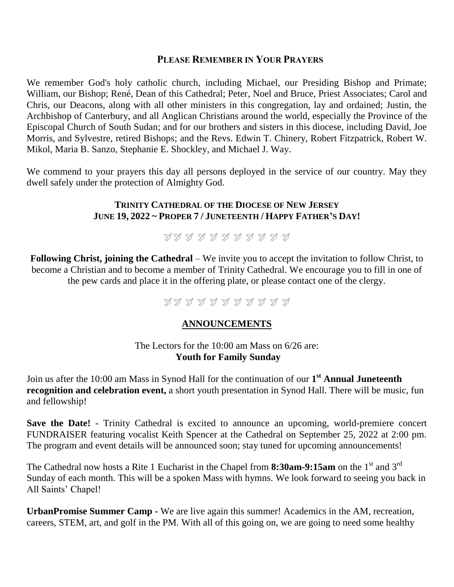#### **PLEASE REMEMBER IN YOUR PRAYERS**

We remember God's holy catholic church, including Michael, our Presiding Bishop and Primate; William, our Bishop; René, Dean of this Cathedral; Peter, Noel and Bruce, Priest Associates; Carol and Chris, our Deacons, along with all other ministers in this congregation, lay and ordained; Justin, the Archbishop of Canterbury, and all Anglican Christians around the world, especially the Province of the Episcopal Church of South Sudan; and for our brothers and sisters in this diocese, including David, Joe Morris, and Sylvestre, retired Bishops; and the Revs. Edwin T. Chinery, Robert Fitzpatrick, Robert W. Mikol, Maria B. Sanzo, Stephanie E. Shockley, and Michael J. Way.

We commend to your prayers this day all persons deployed in the service of our country. May they dwell safely under the protection of Almighty God.

#### **TRINITY CATHEDRAL OF THE DIOCESE OF NEW JERSEY JUNE 19, 2022 ~ PROPER 7 / JUNETEENTH / HAPPY FATHER'S DAY!**

みみ み み み み み み み み み

**Following Christ, joining the Cathedral** – We invite you to accept the invitation to follow Christ, to become a Christian and to become a member of Trinity Cathedral. We encourage you to fill in one of the pew cards and place it in the offering plate, or please contact one of the clergy.

みみ み み み み み み み み み

#### **ANNOUNCEMENTS**

The Lectors for the 10:00 am Mass on 6/26 are: **Youth for Family Sunday**

Join us after the 10:00 am Mass in Synod Hall for the continuation of our **1 st Annual Juneteenth recognition and celebration event,** a short youth presentation in Synod Hall. There will be music, fun and fellowship!

**Save the Date!** - Trinity Cathedral is excited to announce an upcoming, world-premiere concert FUNDRAISER featuring vocalist Keith Spencer at the Cathedral on September 25, 2022 at 2:00 pm. The program and event details will be announced soon; stay tuned for upcoming announcements!

The Cathedral now hosts a Rite 1 Eucharist in the Chapel from **8:30am-9:15am** on the 1<sup>st</sup> and 3<sup>rd</sup> Sunday of each month. This will be a spoken Mass with hymns. We look forward to seeing you back in All Saints' Chapel!

**UrbanPromise Summer Camp -** We are live again this summer! Academics in the AM, recreation, careers, STEM, art, and golf in the PM. With all of this going on, we are going to need some healthy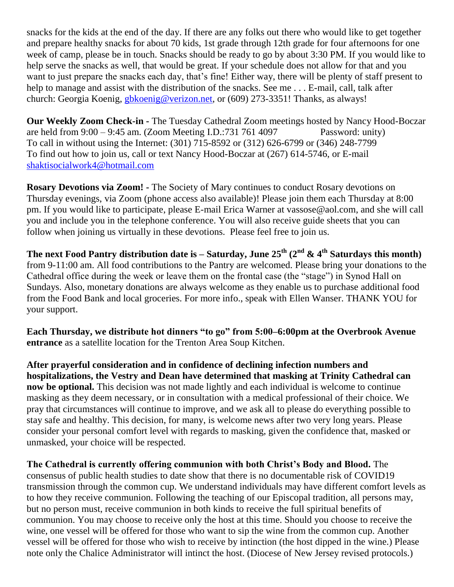snacks for the kids at the end of the day. If there are any folks out there who would like to get together and prepare healthy snacks for about 70 kids, 1st grade through 12th grade for four afternoons for one week of camp, please be in touch. Snacks should be ready to go by about 3:30 PM. If you would like to help serve the snacks as well, that would be great. If your schedule does not allow for that and you want to just prepare the snacks each day, that's fine! Either way, there will be plenty of staff present to help to manage and assist with the distribution of the snacks. See me... E-mail, call, talk after church: Georgia Koenig, [gbkoenig@verizon.net,](mailto:gbkoenig@verizon.net) or (609) 273-3351! Thanks, as always!

**Our Weekly Zoom Check-in -** The Tuesday Cathedral Zoom meetings hosted by Nancy Hood-Boczar are held from 9:00 – 9:45 am. (Zoom Meeting I.D.:731 761 4097 Password: unity) To call in without using the Internet: (301) 715-8592 or (312) 626-6799 or (346) 248-7799 To find out how to join us, call or text Nancy Hood-Boczar at (267) 614-5746, or E-mail [shaktisocialwork4@hotmail.com](mailto:shaktisocialwork4@hotmail.com)

**Rosary Devotions via Zoom! -** The Society of Mary continues to conduct Rosary devotions on Thursday evenings, via Zoom (phone access also available)! Please join them each Thursday at 8:00 pm. If you would like to participate, please E-mail Erica Warner at vassose@aol.com, and she will call you and include you in the telephone conference. You will also receive guide sheets that you can follow when joining us virtually in these devotions. Please feel free to join us.

**The next Food Pantry distribution date is – Saturday, June 25th (2 nd & 4 th Saturdays this month)** from 9-11:00 am. All food contributions to the Pantry are welcomed. Please bring your donations to the Cathedral office during the week or leave them on the frontal case (the "stage") in Synod Hall on Sundays. Also, monetary donations are always welcome as they enable us to purchase additional food from the Food Bank and local groceries. For more info., speak with Ellen Wanser. THANK YOU for your support.

**Each Thursday, we distribute hot dinners "to go" from 5:00–6:00pm at the Overbrook Avenue entrance** as a satellite location for the Trenton Area Soup Kitchen.

**After prayerful consideration and in confidence of declining infection numbers and hospitalizations, the Vestry and Dean have determined that masking at Trinity Cathedral can now be optional.** This decision was not made lightly and each individual is welcome to continue masking as they deem necessary, or in consultation with a medical professional of their choice. We pray that circumstances will continue to improve, and we ask all to please do everything possible to stay safe and healthy. This decision, for many, is welcome news after two very long years. Please consider your personal comfort level with regards to masking, given the confidence that, masked or unmasked, your choice will be respected.

**The Cathedral is currently offering communion with both Christ's Body and Blood.** The consensus of public health studies to date show that there is no documentable risk of COVID19 transmission through the common cup. We understand individuals may have different comfort levels as to how they receive communion. Following the teaching of our Episcopal tradition, all persons may, but no person must, receive communion in both kinds to receive the full spiritual benefits of communion. You may choose to receive only the host at this time. Should you choose to receive the wine, one vessel will be offered for those who want to sip the wine from the common cup. Another vessel will be offered for those who wish to receive by intinction (the host dipped in the wine.) Please note only the Chalice Administrator will intinct the host. (Diocese of New Jersey revised protocols.)